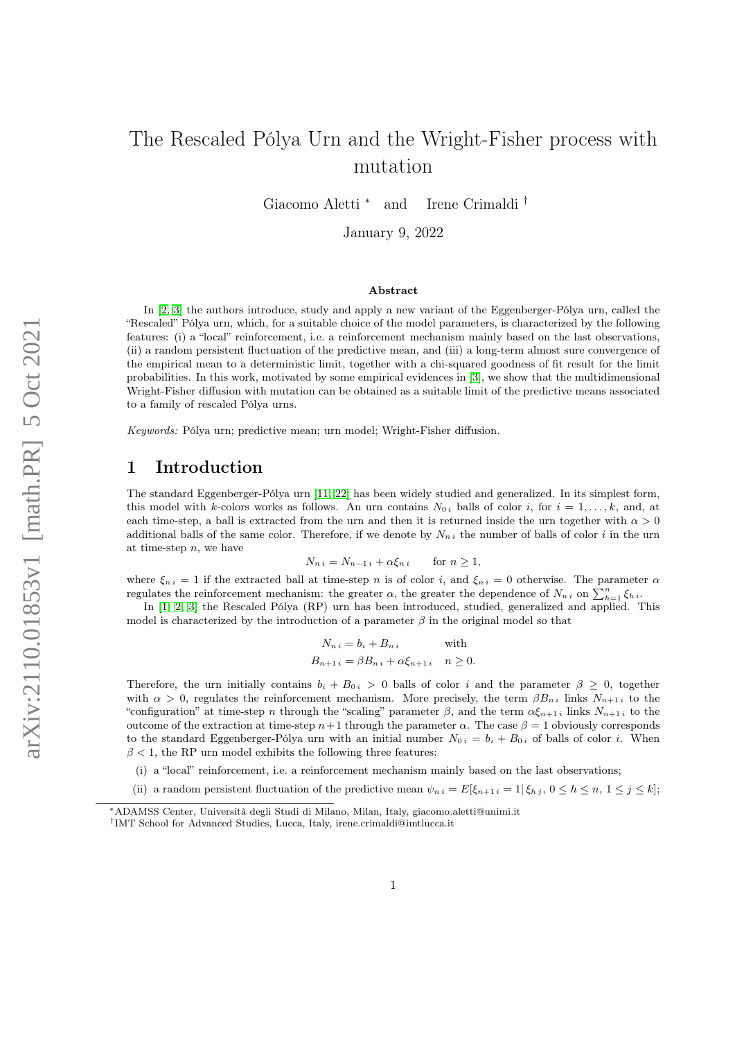# The Rescaled Pólya Urn and the Wright-Fisher process with mutation

Giacomo Aletti <sup>∗</sup> and Irene Crimaldi †

January 9, 2022

#### Abstract

In [\[2,](#page-11-0) [3\]](#page-11-1) the authors introduce, study and apply a new variant of the Eggenberger-Pólya urn, called the "Rescaled" Pólya urn, which, for a suitable choice of the model parameters, is characterized by the following features: (i) a "local" reinforcement, i.e. a reinforcement mechanism mainly based on the last observations, (ii) a random persistent fluctuation of the predictive mean, and (iii) a long-term almost sure convergence of the empirical mean to a deterministic limit, together with a chi-squared goodness of fit result for the limit probabilities. In this work, motivated by some empirical evidences in [\[3\]](#page-11-1), we show that the multidimensional Wright-Fisher diffusion with mutation can be obtained as a suitable limit of the predictive means associated to a family of rescaled Pólya urns.

Keywords: Pólya urn; predictive mean; urn model; Wright-Fisher diffusion.

### 1 Introduction

The standard Eggenberger-Pólya urn [\[11,](#page-11-2) [22\]](#page-12-0) has been widely studied and generalized. In its simplest form, this model with k-colors works as follows. An urn contains  $N_{0 i}$  balls of color i, for  $i = 1, \ldots, k$ , and, at each time-step, a ball is extracted from the urn and then it is returned inside the urn together with  $\alpha > 0$ additional balls of the same color. Therefore, if we denote by  $N_{n i}$  the number of balls of color i in the urn at time-step  $n$ , we have

$$
N_{n i} = N_{n-1 i} + \alpha \xi_{n i} \quad \text{for } n \ge 1,
$$

where  $\xi_{n i} = 1$  if the extracted ball at time-step n is of color i, and  $\xi_{n i} = 0$  otherwise. The parameter  $\alpha$ regulates the reinforcement mechanism: the greater  $\alpha$ , the greater the dependence of  $N_{n,i}$  on  $\sum_{h=1}^{n} \xi_h i$ .

In [\[1,](#page-11-3) [2,](#page-11-0) [3\]](#page-11-1) the Rescaled Pólya (RP) urn has been introduced, studied, generalized and applied. This model is characterized by the introduction of a parameter  $\beta$  in the original model so that

$$
N_{n i} = b_i + B_{n i} \qquad \text{with}
$$
  

$$
B_{n+1 i} = \beta B_{n i} + \alpha \xi_{n+1 i} \quad n \ge 0.
$$

Therefore, the urn initially contains  $b_i + B_{0i} > 0$  balls of color i and the parameter  $\beta \geq 0$ , together with  $\alpha > 0$ , regulates the reinforcement mechanism. More precisely, the term  $\beta B_{n,i}$  links  $N_{n+1,i}$  to the "configuration" at time-step n through the "scaling" parameter  $\beta$ , and the term  $\alpha \xi_{n+1}$  i links  $N_{n+1}$  i to the outcome of the extraction at time-step  $n+1$  through the parameter α. The case  $β = 1$  obviously corresponds to the standard Eggenberger-Pólya urn with an initial number  $N_{0 i} = b_i + B_{0 i}$  of balls of color i. When  $\beta$  < 1, the RP urn model exhibits the following three features:

(i) a "local" reinforcement, i.e. a reinforcement mechanism mainly based on the last observations;

(ii) a random persistent fluctuation of the predictive mean  $\psi_{n i} = E[\xi_{n+1 i} = 1 | \xi_{h i}, 0 \le h \le n, 1 \le j \le k];$ 

<sup>∗</sup>ADAMSS Center, Università degli Studi di Milano, Milan, Italy, giacomo.aletti@unimi.it

<sup>†</sup> IMT School for Advanced Studies, Lucca, Italy, irene.crimaldi@imtlucca.it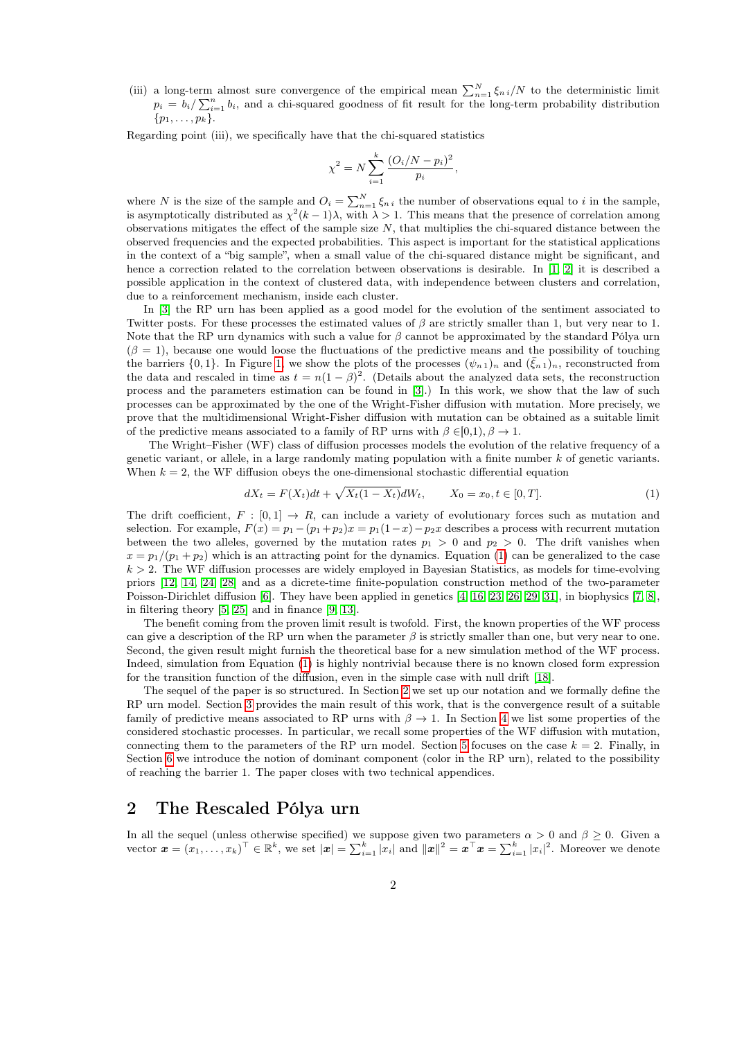(iii) a long-term almost sure convergence of the empirical mean  $\sum_{n=1}^{N} \xi_{n i}/N$  to the deterministic limit  $p_i = b_i / \sum_{i=1}^n b_i$ , and a chi-squared goodness of fit result for the long-term probability distribution  $\{p_1, \ldots, p_k\}.$ 

Regarding point (iii), we specifically have that the chi-squared statistics

$$
\chi^{2} = N \sum_{i=1}^{k} \frac{(O_{i}/N - p_{i})^{2}}{p_{i}},
$$

where N is the size of the sample and  $O_i = \sum_{n=1}^{N} \xi_{n,i}$  the number of observations equal to i in the sample, is asymptotically distributed as  $\chi^2(k-1)\lambda$ , with  $\lambda > 1$ . This means that the presence of correlation among observations mitigates the effect of the sample size  $N$ , that multiplies the chi-squared distance between the observed frequencies and the expected probabilities. This aspect is important for the statistical applications in the context of a "big sample", when a small value of the chi-squared distance might be significant, and hence a correction related to the correlation between observations is desirable. In [\[1,](#page-11-3) [2\]](#page-11-0) it is described a possible application in the context of clustered data, with independence between clusters and correlation, due to a reinforcement mechanism, inside each cluster.

In [\[3\]](#page-11-1) the RP urn has been applied as a good model for the evolution of the sentiment associated to Twitter posts. For these processes the estimated values of  $\beta$  are strictly smaller than 1, but very near to 1. Note that the RP urn dynamics with such a value for  $\beta$  cannot be approximated by the standard Pólya urn  $(\beta = 1)$ , because one would loose the fluctuations of the predictive means and the possibility of touching the barriers  $\{0,1\}$ . In Figure [1,](#page-2-0) we show the plots of the processes  $(\psi_{n,1})_n$  and  $(\bar{\xi}_{n,1})_n$ , reconstructed from the data and rescaled in time as  $t = n(1 - \beta)^2$ . (Details about the analyzed data sets, the reconstruction process and the parameters estimation can be found in [\[3\]](#page-11-1).) In this work, we show that the law of such processes can be approximated by the one of the Wright-Fisher diffusion with mutation. More precisely, we prove that the multidimensional Wright-Fisher diffusion with mutation can be obtained as a suitable limit of the predictive means associated to a family of RP urns with  $\beta \in [0,1)$ ,  $\beta \to 1$ .

The Wright–Fisher (WF) class of diffusion processes models the evolution of the relative frequency of a genetic variant, or allele, in a large randomly mating population with a finite number k of genetic variants. When  $k = 2$ , the WF diffusion obeys the one-dimensional stochastic differential equation

<span id="page-1-0"></span>
$$
dX_t = F(X_t)dt + \sqrt{X_t(1 - X_t)}dW_t, \qquad X_0 = x_0, t \in [0, T].
$$
\n(1)

The drift coefficient,  $F : [0, 1] \rightarrow R$ , can include a variety of evolutionary forces such as mutation and selection. For example,  $F(x) = p_1 - (p_1 + p_2)x = p_1(1-x) - p_2x$  describes a process with recurrent mutation between the two alleles, governed by the mutation rates  $p_1 > 0$  and  $p_2 > 0$ . The drift vanishes when  $x = p_1/(p_1 + p_2)$  which is an attracting point for the dynamics. Equation [\(1\)](#page-1-0) can be generalized to the case  $k > 2$ . The WF diffusion processes are widely employed in Bayesian Statistics, as models for time-evolving priors [\[12,](#page-11-4) [14,](#page-11-5) [24,](#page-12-1) [28\]](#page-12-2) and as a dicrete-time finite-population construction method of the two-parameter Poisson-Dirichlet diffusion [\[6\]](#page-11-6). They have been applied in genetics [\[4,](#page-11-7) [16,](#page-12-3) [23,](#page-12-4) [26,](#page-12-5) [29,](#page-12-6) [31\]](#page-12-7), in biophysics [\[7,](#page-11-8) [8\]](#page-11-9), in filtering theory [\[5,](#page-11-10) [25\]](#page-12-8) and in finance [\[9,](#page-11-11) [13\]](#page-11-12).

The benefit coming from the proven limit result is twofold. First, the known properties of the WF process can give a description of the RP urn when the parameter  $\beta$  is strictly smaller than one, but very near to one. Second, the given result might furnish the theoretical base for a new simulation method of the WF process. Indeed, simulation from Equation [\(1\)](#page-1-0) is highly nontrivial because there is no known closed form expression for the transition function of the diffusion, even in the simple case with null drift [\[18\]](#page-12-9).

The sequel of the paper is so structured. In Section [2](#page-1-1) we set up our notation and we formally define the RP urn model. Section [3](#page-3-0) provides the main result of this work, that is the convergence result of a suitable family of predictive means associated to RP urns with  $\beta \to 1$ . In Section [4](#page-4-0) we list some properties of the considered stochastic processes. In particular, we recall some properties of the WF diffusion with mutation, connecting them to the parameters of the RP urn model. Section [5](#page-7-0) focuses on the case  $k = 2$ . Finally, in Section [6](#page-8-0) we introduce the notion of dominant component (color in the RP urn), related to the possibility of reaching the barrier 1. The paper closes with two technical appendices.

# <span id="page-1-1"></span>2 The Rescaled Pólya urn

In all the sequel (unless otherwise specified) we suppose given two parameters  $\alpha > 0$  and  $\beta \ge 0$ . Given a vector  $\boldsymbol{x} = (x_1, \ldots, x_k)^\top \in \mathbb{R}^k$ , we set  $|\boldsymbol{x}| = \sum_{i=1}^k |x_i|$  and  $||\boldsymbol{x}||^2 = \boldsymbol{x}^\top \boldsymbol{x} = \sum_{i=1}^k |x_i|^2$ . Moreover we denote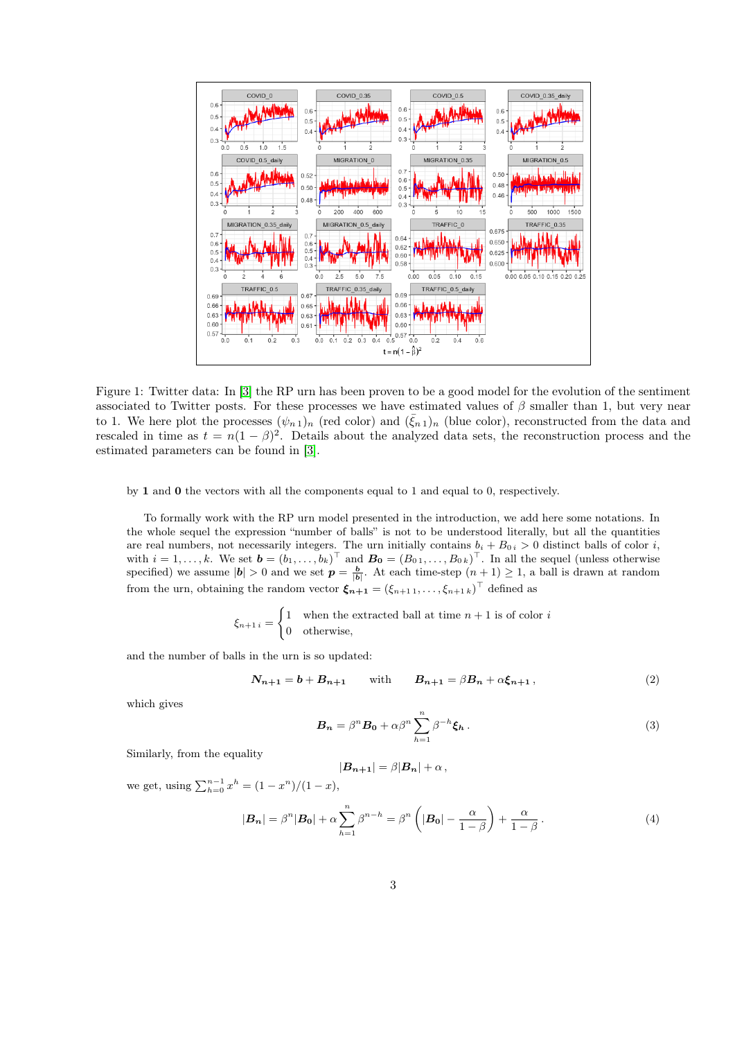

<span id="page-2-0"></span>Figure 1: Twitter data: In [\[3\]](#page-11-1) the RP urn has been proven to be a good model for the evolution of the sentiment associated to Twitter posts. For these processes we have estimated values of  $\beta$  smaller than 1, but very near to 1. We here plot the processes  $(\psi_{n_1})_n$  (red color) and  $(\bar{\xi}_{n_1})_n$  (blue color), reconstructed from the data and rescaled in time as  $t = n(1 - \beta)^2$ . Details about the analyzed data sets, the reconstruction process and the estimated parameters can be found in [\[3\]](#page-11-1).

by 1 and 0 the vectors with all the components equal to 1 and equal to 0, respectively.

To formally work with the RP urn model presented in the introduction, we add here some notations. In the whole sequel the expression "number of balls" is not to be understood literally, but all the quantities are real numbers, not necessarily integers. The urn initially contains  $b_i + B_{0i} > 0$  distinct balls of color i, with  $i = 1, \ldots, k$ . We set  $\mathbf{b} = (b_1, \ldots, b_k)^\top$  and  $\mathbf{B_0} = (B_{0,1}, \ldots, B_{0,k})^\top$ . In all the sequel (unless otherwise specified) we assume  $|\mathbf{b}| > 0$  and we set  $p = \frac{b}{|\mathbf{b}|}$ . At each time-step  $(n+1) \geq 1$ , a ball is drawn at random from the urn, obtaining the random vector  $\xi_{n+1} = (\xi_{n+1,1}, \ldots, \xi_{n+1,k})^\top$  defined as

$$
\xi_{n+1 i} = \begin{cases} 1 & \text{when the extracted ball at time } n+1 \text{ is of color } i \\ 0 & \text{otherwise,} \end{cases}
$$

and the number of balls in the urn is so updated:

$$
N_{n+1} = b + B_{n+1}
$$
 with  $B_{n+1} = \beta B_n + \alpha \xi_{n+1}$ , (2)

<span id="page-2-1"></span>which gives

<span id="page-2-3"></span>
$$
\boldsymbol{B_n} = \beta^n \boldsymbol{B_0} + \alpha \beta^n \sum_{h=1}^n \beta^{-h} \boldsymbol{\xi_h} \,. \tag{3}
$$

Similarly, from the equality

<span id="page-2-2"></span>
$$
|\boldsymbol{B_{n+1}}| = \beta |\boldsymbol{B_n}| + \alpha \,,
$$

we get, using  $\sum_{h=0}^{n-1} x^h = (1 - x^n)/(1 - x)$ ,

$$
|\boldsymbol{B_n}| = \beta^n |\boldsymbol{B_0}| + \alpha \sum_{h=1}^n \beta^{n-h} = \beta^n \left( |\boldsymbol{B_0}| - \frac{\alpha}{1-\beta} \right) + \frac{\alpha}{1-\beta}.
$$
 (4)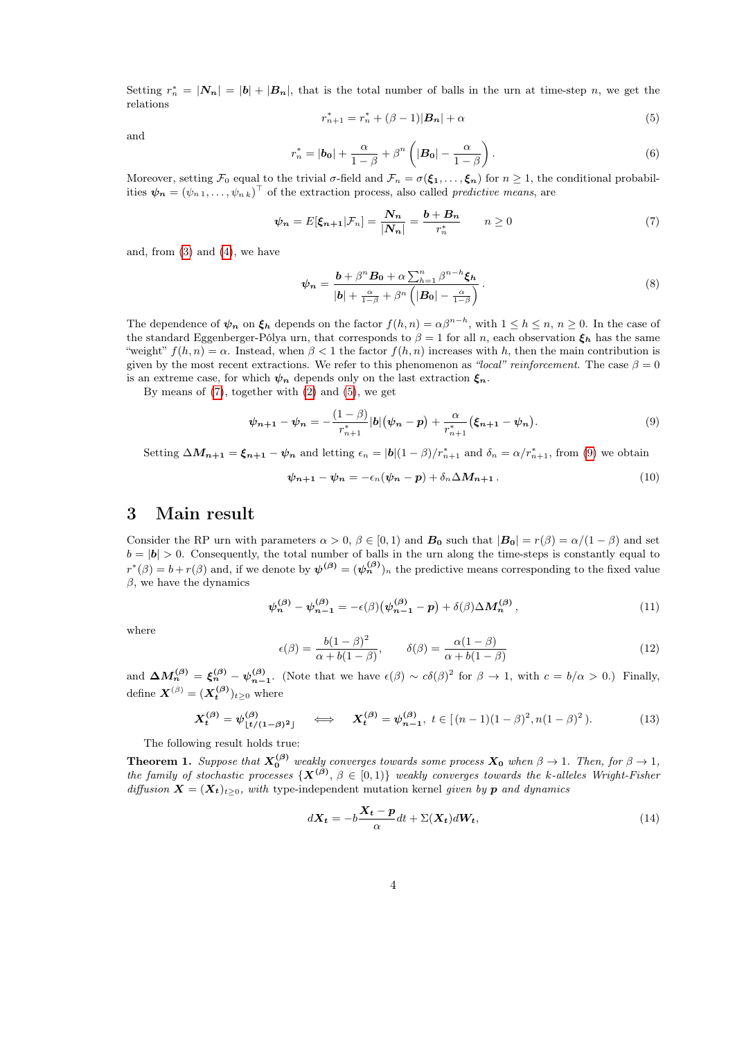<span id="page-3-2"></span>Setting  $r_n^* = |\mathbf{N_n}| = |\mathbf{b}| + |\mathbf{B_n}|$ , that is the total number of balls in the urn at time-step n, we get the relations

<span id="page-3-1"></span>
$$
r_{n+1}^* = r_n^* + (\beta - 1)|\mathbf{B_n}| + \alpha \tag{5}
$$

and

$$
r_n^* = |\boldsymbol{b_0}| + \frac{\alpha}{1-\beta} + \beta^n \left( |\boldsymbol{B_0}| - \frac{\alpha}{1-\beta} \right). \tag{6}
$$

Moreover, setting  $\mathcal{F}_0$  equal to the trivial  $\sigma$ -field and  $\mathcal{F}_n = \sigma(\xi_1, \ldots, \xi_n)$  for  $n \geq 1$ , the conditional probabilities  $\psi_n = (\psi_{n,1}, \dots, \psi_{n,k})^\top$  of the extraction process, also called *predictive means*, are

$$
\psi_n = E[\xi_{n+1}|\mathcal{F}_n] = \frac{N_n}{|N_n|} = \frac{b + B_n}{r_n^*} \qquad n \ge 0 \tag{7}
$$

and, from  $(3)$  and  $(4)$ , we have

$$
\psi_n = \frac{b + \beta^n B_0 + \alpha \sum_{h=1}^n \beta^{n-h} \xi_h}{|b| + \frac{\alpha}{1-\beta} + \beta^n \left( |B_0| - \frac{\alpha}{1-\beta} \right)}.
$$
\n(8)

The dependence of  $\psi_n$  on  $\xi_h$  depends on the factor  $f(h,n) = \alpha \beta^{n-h}$ , with  $1 \leq h \leq n, n \geq 0$ . In the case of the standard Eggenberger-Pólya urn, that corresponds to  $\beta = 1$  for all n, each observation  $\xi_h$  has the same "weight"  $f(h, n) = \alpha$ . Instead, when  $\beta < 1$  the factor  $f(h, n)$  increases with h, then the main contribution is given by the most recent extractions. We refer to this phenomenon as "local" reinforcement. The case  $\beta = 0$ is an extreme case, for which  $\psi_n$  depends only on the last extraction  $\xi_n$ .

By means of  $(7)$ , together with  $(2)$  and  $(5)$ , we get

$$
\psi_{n+1} - \psi_n = -\frac{(1-\beta)}{r_{n+1}^*} |b| (\psi_n - p) + \frac{\alpha}{r_{n+1}^*} (\xi_{n+1} - \psi_n).
$$
\n(9)

Setting  $\Delta M_{n+1} = \xi_{n+1} - \psi_n$  and letting  $\epsilon_n = |b|(1-\beta)/r_{n+1}^*$  and  $\delta_n = \alpha/r_{n+1}^*$ , from [\(9\)](#page-3-3) we obtain

<span id="page-3-3"></span>
$$
\psi_{n+1} - \psi_n = -\epsilon_n(\psi_n - p) + \delta_n \Delta M_{n+1} \,. \tag{10}
$$

### <span id="page-3-0"></span>3 Main result

Consider the RP urn with parameters  $\alpha > 0$ ,  $\beta \in [0,1)$  and  $\mathbf{B}_0$  such that  $|\mathbf{B}_0| = r(\beta) = \alpha/(1-\beta)$  and set  $b = |b| > 0$ . Consequently, the total number of balls in the urn along the time-steps is constantly equal to  $r^*(\beta) = b + r(\beta)$  and, if we denote by  $\psi^{(\beta)} = (\psi_n^{(\beta)})_n$  the predictive means corresponding to the fixed value  $\beta$ , we have the dynamics

<span id="page-3-4"></span>
$$
\psi_n^{(\beta)} - \psi_{n-1}^{(\beta)} = -\epsilon(\beta) \big( \psi_{n-1}^{(\beta)} - p \big) + \delta(\beta) \Delta M_n^{(\beta)}, \tag{11}
$$

where

$$
\epsilon(\beta) = \frac{b(1-\beta)^2}{\alpha + b(1-\beta)}, \qquad \delta(\beta) = \frac{\alpha(1-\beta)}{\alpha + b(1-\beta)}
$$
(12)

and  $\Delta M_n^{(\beta)} = \xi_n^{(\beta)} - \psi_{n-1}^{(\beta)}$ . (Note that we have  $\epsilon(\beta) \sim c\delta(\beta)^2$  for  $\beta \to 1$ , with  $c = b/\alpha > 0$ .) Finally, define  $\boldsymbol{X}^{(\beta)}=(\boldsymbol{X^{(\beta)}_{t}})_{t\geq 0}$  where

$$
X_t^{(\beta)} = \psi_{\lfloor t/(1-\beta)^2 \rfloor}^{(\beta)} \iff X_t^{(\beta)} = \psi_{n-1}^{(\beta)}, \ t \in \left[ (n-1)(1-\beta)^2, n(1-\beta)^2 \right). \tag{13}
$$

The following result holds true:

<span id="page-3-5"></span>**Theorem 1.** Suppose that  $X_0^{(\beta)}$  weakly converges towards some process  $X_0$  when  $\beta \to 1$ . Then, for  $\beta \to 1$ , the family of stochastic processes  $\{X^{(\beta)}, \beta \in [0,1)\}\$  weakly converges towards the k-alleles Wright-Fisher diffusion  $\mathbf{X} = (\mathbf{X}_t)_{t \geq 0}$ , with type-independent mutation kernel given by **p** and dynamics

<span id="page-3-6"></span>
$$
d\mathbf{X_t} = -b\frac{\mathbf{X_t} - \mathbf{p}}{\alpha}dt + \Sigma(\mathbf{X_t})d\mathbf{W_t},
$$
\n(14)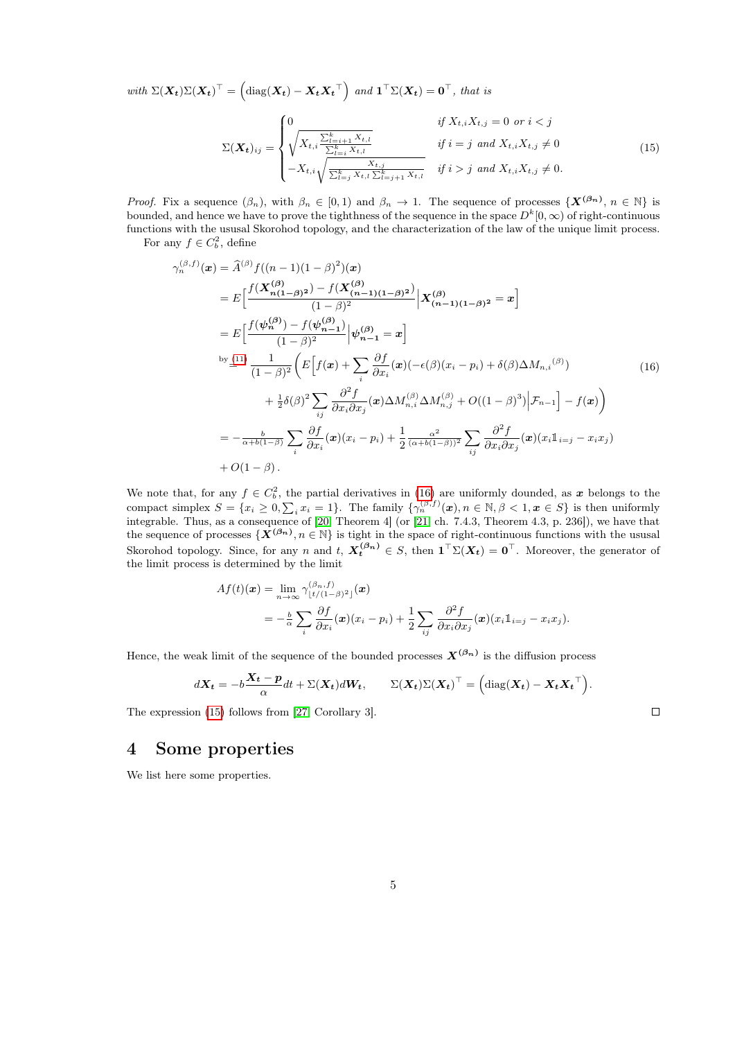with  $\Sigma(\boldsymbol{X_t})\Sigma(\boldsymbol{X_t})^{\top} = \left(\text{diag}(\boldsymbol{X_t}) - \boldsymbol{X_t}\boldsymbol{X_t}^{\top}\right)$  and  $\boldsymbol{1}^{\top}\Sigma(\boldsymbol{X_t}) = \boldsymbol{0}^{\top}$ , that is

<span id="page-4-2"></span>
$$
\Sigma(\boldsymbol{X}_{t})_{ij} = \begin{cases}\n0 & \text{if } X_{t,i} X_{t,j} = 0 \text{ or } i < j \\
\sqrt{X_{t,i} \frac{\sum_{l=i+1}^{k} X_{t,l}}{\sum_{l=i}^{k} X_{t,l}}} & \text{if } i = j \text{ and } X_{t,i} X_{t,j} \neq 0 \\
-X_{t,i} \sqrt{\frac{X_{t,j}}{\sum_{l=j}^{k} X_{t,l} \sum_{l=j+1}^{k} X_{t,l}}} & \text{if } i > j \text{ and } X_{t,i} X_{t,j} \neq 0.\n\end{cases}
$$
\n(15)

*Proof.* Fix a sequence  $(\beta_n)$ , with  $\beta_n \in [0,1)$  and  $\beta_n \to 1$ . The sequence of processes  $\{X^{(\beta_n)}, n \in \mathbb{N}\}\$ is bounded, and hence we have to prove the tighthness of the sequence in the space  $D^k[0,\infty)$  of right-continuous functions with the ususal Skorohod topology, and the characterization of the law of the unique limit process. For any  $f \in C_b^2$ , define

<span id="page-4-1"></span>
$$
\gamma_{n}^{(\beta,f)}(\mathbf{x}) = \hat{A}^{(\beta)} f((n-1)(1-\beta)^{2})(\mathbf{x})
$$
\n
$$
= E\left[\frac{f(\mathbf{X}_{n(1-\beta)^{2}}^{(\beta)}) - f(\mathbf{X}_{(n-1)(1-\beta)^{2}}^{(\beta)})}{(1-\beta)^{2}} \Big| \mathbf{X}_{(n-1)(1-\beta)^{2}}^{(\beta)} = \mathbf{x}\right]
$$
\n
$$
= E\left[\frac{f(\psi_{n}^{(\beta)}) - f(\psi_{n-1}^{(\beta)})}{(1-\beta)^{2}} \Big| \psi_{n-1}^{(\beta)} = \mathbf{x}\right]
$$
\nby  $\underline{\underline{\psi}}^{(11)} \frac{1}{(1-\beta)^{2}} \left(E\left[f(\mathbf{x}) + \sum_{i} \frac{\partial f}{\partial x_{i}}(\mathbf{x})\left(-\epsilon(\beta)(x_{i} - p_{i}) + \delta(\beta)\Delta M_{n,i}^{(\beta)}\right) + \frac{1}{2}\delta(\beta)^{2} \sum_{i,j} \frac{\partial^{2} f}{\partial x_{i} \partial x_{j}}(\mathbf{x})\Delta M_{n,i}^{(\beta)}\Delta M_{n,j}^{(\beta)} + O((1-\beta)^{3}) \Big| \mathcal{F}_{n-1}\right] - f(\mathbf{x})\right)$ \n
$$
= -\frac{b}{\alpha+b(1-\beta)} \sum_{i} \frac{\partial f}{\partial x_{i}}(\mathbf{x})(x_{i} - p_{i}) + \frac{1}{2} \frac{\alpha^{2}}{(\alpha+b(1-\beta))^{2}} \sum_{i,j} \frac{\partial^{2} f}{\partial x_{i} \partial x_{j}}(\mathbf{x})(x_{i}1_{i=j} - x_{i}x_{j}) + O(1-\beta).
$$
\n(A)

We note that, for any  $f \in C_b^2$ , the partial derivatives in [\(16\)](#page-4-1) are uniformly dounded, as x belongs to the compact simplex  $S = \{x_i \geq 0, \sum_i x_i = 1\}$ . The family  $\{\gamma_n^{(\beta,f)}(\mathbf{x}), n \in \mathbb{N}, \beta < 1, \mathbf{x} \in S\}$  is then uniformly integrable. Thus, as a consequence of [\[20,](#page-12-10) Theorem 4] (or [\[21,](#page-12-11) ch. 7.4.3, Theorem 4.3, p. 236]), we have that the sequence of processes  $\{X^{(\beta_n)}, n \in \mathbb{N}\}\$ is tight in the space of right-continuous functions with the ususal Skorohod topology. Since, for any n and t,  $X_t^{(\beta_n)} \in S$ , then  $\mathbf{1}^\top \Sigma(X_t) = \mathbf{0}^\top$ . Moreover, the generator of the limit process is determined by the limit

$$
Af(t)(\boldsymbol{x}) = \lim_{n \to \infty} \gamma_{\lfloor t/(1-\beta)^2 \rfloor}^{(\beta_n, f)}(\boldsymbol{x})
$$
  
=  $-\frac{b}{\alpha} \sum_{i} \frac{\partial f}{\partial x_i}(\boldsymbol{x})(x_i - p_i) + \frac{1}{2} \sum_{ij} \frac{\partial^2 f}{\partial x_i \partial x_j}(\boldsymbol{x})(x_i \mathbb{1}_{i=j} - x_i x_j).$ 

Hence, the weak limit of the sequence of the bounded processes  $X^{(\beta_n)}$  is the diffusion process

$$
d\mathbf{X_t} = -b\frac{\mathbf{X_t} - \mathbf{p}}{\alpha}dt + \Sigma(\mathbf{X_t})d\mathbf{W_t}, \qquad \Sigma(\mathbf{X_t})\Sigma(\mathbf{X_t})^\top = \left(\text{diag}(\mathbf{X_t}) - \mathbf{X_t}\mathbf{X_t}^\top\right).
$$

 $\Box$ 

The expression [\(15\)](#page-4-2) follows from [\[27,](#page-12-12) Corollary 3].

### <span id="page-4-0"></span>4 Some properties

We list here some properties.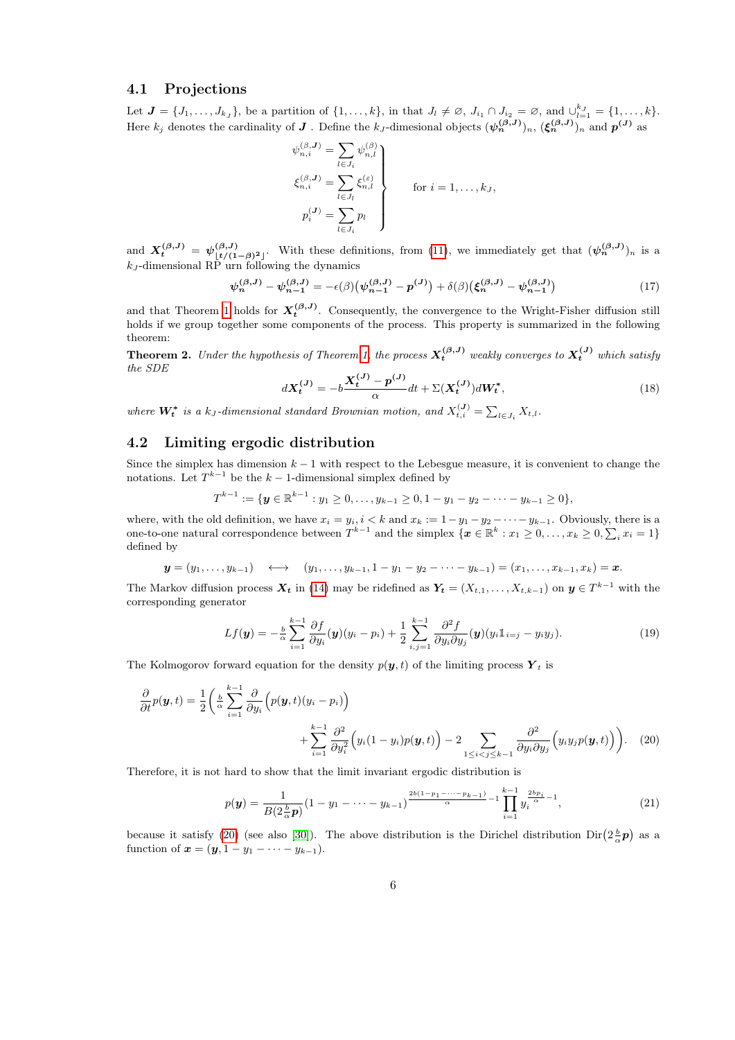### 4.1 Projections

Let  $\mathbf{J} = \{J_1, \ldots, J_{k_J}\}\$ , be a partition of  $\{1, \ldots, k\}\$ , in that  $J_l \neq \emptyset$ ,  $J_{i_1} \cap J_{i_2} = \emptyset$ , and  $\bigcup_{l=1}^{k_J} = \{1, \ldots, k\}\$ . Here  $k_j$  denotes the cardinality of  $J$  . Define the  $k_J$ -dimesional objects  $(\psi_n^{(\beta,J)})_n$ ,  $(\xi_n^{(\beta,J)})_n$  and  $p^{(J)}$  as

$$
\psi_{n,i}^{(\beta,J)} = \sum_{l \in J_i} \psi_{n,l}^{(\beta)}
$$
\n
$$
\xi_{n,i}^{(\beta,J)} = \sum_{l \in J_i} \xi_{n,l}^{(\varepsilon)}
$$
\nfor  $i = 1, ..., k_J$ ,\n
$$
p_i^{(J)} = \sum_{l \in J_i} p_l
$$
\nfor  $i = 1, ..., k_J$ ,

and  $X_t^{(\beta,J)} = \psi_{\lfloor t/(1-\beta)^2 \rfloor}^{(\beta,J)}$ . With these definitions, from [\(11\)](#page-3-4), we immediately get that  $(\psi_n^{(\beta,J)})_n$  is a  $k_J$ -dimensional RP urn following the dynamics

$$
\psi_n^{(\beta,J)} - \psi_{n-1}^{(\beta,J)} = -\epsilon(\beta) \big( \psi_{n-1}^{(\beta,J)} - p^{(J)} \big) + \delta(\beta) \big( \xi_n^{(\beta,J)} - \psi_{n-1}^{(\beta,J)} \big) \tag{17}
$$

and that Theorem [1](#page-3-5) holds for  $X_t^{(\beta,J)}$ . Consequently, the convergence to the Wright-Fisher diffusion still holds if we group together some components of the process. This property is summarized in the following theorem:

<span id="page-5-4"></span><span id="page-5-3"></span>**Theorem 2.** Under the hypothesis of Theorem [1,](#page-3-5) the process  $X_t^{(\beta,J)}$  weakly converges to  $X_t^{(J)}$  which satisfy the SDE

$$
dX_t^{(J)} = -b \frac{X_t^{(J)} - p^{(J)}}{\alpha} dt + \Sigma (X_t^{(J)}) dW_t^*,
$$
\n(18)

where  $\mathbf{W_t^*}$  is a  $k_J$ -dimensional standard Brownian motion, and  $X_{t,i}^{(J)} = \sum_{l \in J_i} X_{t,l}$ .

### 4.2 Limiting ergodic distribution

Since the simplex has dimension  $k - 1$  with respect to the Lebesgue measure, it is convenient to change the notations. Let  $T^{k-1}$  be the  $k-1$ -dimensional simplex defined by

$$
T^{k-1} := \{ \mathbf{y} \in \mathbb{R}^{k-1} : y_1 \geq 0, \ldots, y_{k-1} \geq 0, 1 - y_1 - y_2 - \cdots - y_{k-1} \geq 0 \},\
$$

where, with the old definition, we have  $x_i = y_i$ ,  $i < k$  and  $x_k := 1 - y_1 - y_2 - \cdots - y_{k-1}$ . Obviously, there is a one-to-one natural correspondence between  $T^{k-1}$  and the simplex  $\{x \in \mathbb{R}^k : x_1 \geq 0, \ldots, x_k \geq 0, \sum_i x_i = 1\}$ defined by

$$
y = (y_1, ..., y_{k-1}) \longleftrightarrow (y_1, ..., y_{k-1}, 1 - y_1 - y_2 - \cdots - y_{k-1}) = (x_1, ..., x_{k-1}, x_k) = x.
$$

The Markov diffusion process  $\mathbf{X}_t$  in [\(14\)](#page-3-6) may be ridefined as  $\mathbf{Y}_t = (X_{t,1}, \ldots, X_{t,k-1})$  on  $\mathbf{y} \in T^{k-1}$  with the corresponding generator

<span id="page-5-2"></span>
$$
Lf(\boldsymbol{y}) = -\frac{b}{\alpha} \sum_{i=1}^{k-1} \frac{\partial f}{\partial y_i}(\boldsymbol{y})(y_i - p_i) + \frac{1}{2} \sum_{i,j=1}^{k-1} \frac{\partial^2 f}{\partial y_i \partial y_j}(\boldsymbol{y})(y_i \mathbb{1}_{i=j} - y_i y_j).
$$
(19)

The Kolmogorov forward equation for the density  $p(y, t)$  of the limiting process  $Y_t$  is

$$
\frac{\partial}{\partial t}p(\mathbf{y},t) = \frac{1}{2} \left( \frac{b}{\alpha} \sum_{i=1}^{k-1} \frac{\partial}{\partial y_i} \left( p(\mathbf{y},t)(y_i - p_i) \right) + \sum_{i=1}^{k-1} \frac{\partial^2}{\partial y_i^2} \left( y_i(1 - y_i)p(\mathbf{y},t) \right) - 2 \sum_{1 \le i < j \le k-1} \frac{\partial^2}{\partial y_i \partial y_j} \left( y_i y_j p(\mathbf{y},t) \right) \right). \tag{20}
$$

Therefore, it is not hard to show that the limit invariant ergodic distribution is

<span id="page-5-1"></span><span id="page-5-0"></span>
$$
p(\mathbf{y}) = \frac{1}{B(2\frac{b}{\alpha}\mathbf{p})} (1 - y_1 - \dots - y_{k-1}) \frac{2b(1 - p_1 - \dots - p_{k-1})}{\alpha} - 1 \prod_{i=1}^{k-1} y_i^{\frac{2b p_i}{\alpha} - 1},
$$
(21)

because it satisfy [\(20\)](#page-5-0) (see also [\[30\]](#page-12-13)). The above distribution is the Dirichel distribution  $\text{Dir}(2\frac{b}{\alpha}\mathbf{p})$  as a function of  $x = (y, 1 - y_1 - \cdots - y_{k-1}).$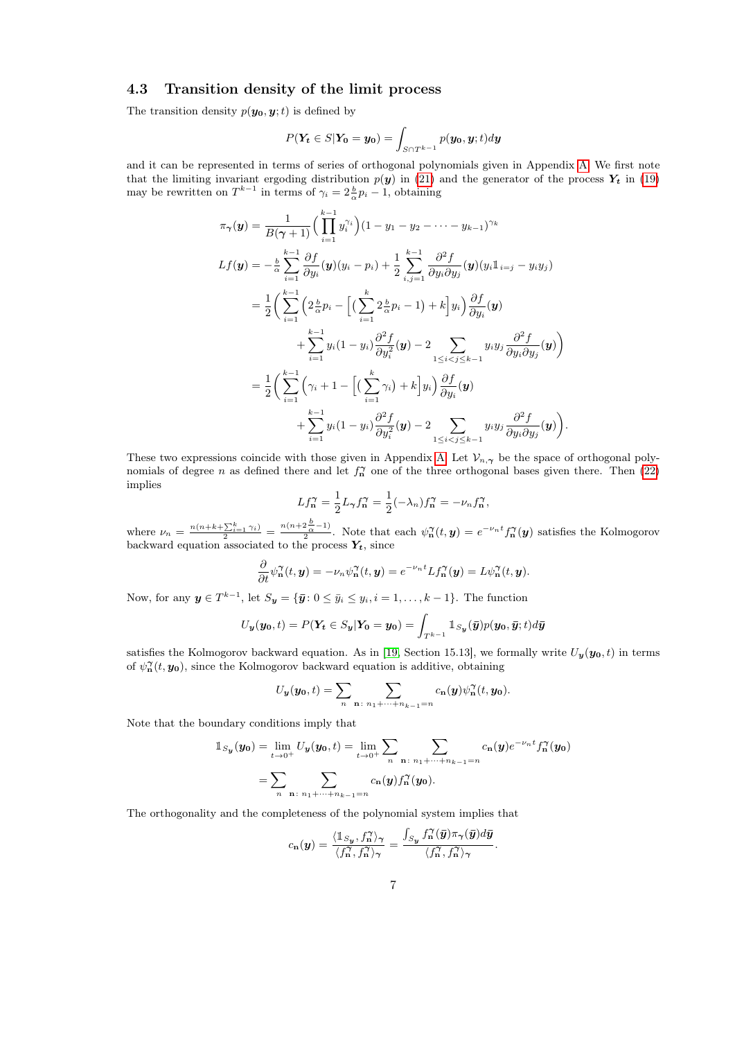### 4.3 Transition density of the limit process

The transition density  $p(\mathbf{y_0}, \mathbf{y}; t)$  is defined by

$$
P(\mathbf{Y_t} \in S | \mathbf{Y_0} = \mathbf{y_0}) = \int_{S \cap T^{k-1}} p(\mathbf{y_0}, \mathbf{y}; t) d\mathbf{y}
$$

and it can be represented in terms of series of orthogonal polynomials given in Appendix [A.](#page-9-0) We first note that the limiting invariant ergoding distribution  $p(y)$  in [\(21\)](#page-5-1) and the generator of the process  $Y_t$  in [\(19\)](#page-5-2) may be rewritten on  $T^{k-1}$  in terms of  $\gamma_i = 2\frac{b}{\alpha}p_i - 1$ , obtaining

$$
\pi_{\gamma}(\mathbf{y}) = \frac{1}{B(\gamma+1)} \Big( \prod_{i=1}^{k-1} y_i^{\gamma_i} \Big) (1 - y_1 - y_2 - \cdots - y_{k-1})^{\gamma_k}
$$
  
\n
$$
Lf(\mathbf{y}) = -\frac{b}{\alpha} \sum_{i=1}^{k-1} \frac{\partial f}{\partial y_i}(\mathbf{y})(y_i - p_i) + \frac{1}{2} \sum_{i,j=1}^{k-1} \frac{\partial^2 f}{\partial y_i \partial y_j}(\mathbf{y})(y_i 1_{i=j} - y_i y_j)
$$
  
\n
$$
= \frac{1}{2} \Big( \sum_{i=1}^{k-1} \Big( 2 \frac{b}{\alpha} p_i - \Big[ \Big( \sum_{i=1}^{k} 2 \frac{b}{\alpha} p_i - 1 \Big) + k \Big] y_i \Big) \frac{\partial f}{\partial y_i}(\mathbf{y})
$$
  
\n
$$
+ \sum_{i=1}^{k-1} y_i (1 - y_i) \frac{\partial^2 f}{\partial y_i^2}(\mathbf{y}) - 2 \sum_{1 \le i < j \le k-1} y_i y_j \frac{\partial^2 f}{\partial y_i \partial y_j}(\mathbf{y}) \Big)
$$
  
\n
$$
= \frac{1}{2} \Big( \sum_{i=1}^{k-1} \Big( \gamma_i + 1 - \Big[ \Big( \sum_{i=1}^{k} \gamma_i \Big) + k \Big] y_i \Big) \frac{\partial f}{\partial y_i}(\mathbf{y})
$$
  
\n
$$
+ \sum_{i=1}^{k-1} y_i (1 - y_i) \frac{\partial^2 f}{\partial y_i^2}(\mathbf{y}) - 2 \sum_{1 \le i < j \le k-1} y_i y_j \frac{\partial^2 f}{\partial y_i \partial y_j}(\mathbf{y}) \Big).
$$

These two expressions coincide with those given in Appendix [A.](#page-9-0) Let  $\mathcal{V}_{n,\gamma}$  be the space of orthogonal polynomials of degree n as defined there and let  $f_{\mathbf{n}}^{\gamma}$  one of the three orthogonal bases given there. Then [\(22\)](#page-10-0) implies

$$
Lf_n^{\gamma} = \frac{1}{2}L_{\gamma}f_n^{\gamma} = \frac{1}{2}(-\lambda_n)f_n^{\gamma} = -\nu_n f_n^{\gamma},
$$

where  $\nu_n = \frac{n(n+k+\sum_{i=1}^k \gamma_i)}{2} = \frac{n(n+2\frac{b}{\alpha}-1)}{2}$  $\frac{2\alpha-1}{2}$ . Note that each  $\psi_n^{\gamma}(t, y) = e^{-\nu_n t} f_n^{\gamma}(y)$  satisfies the Kolmogorov backward equation associated to the process  $Y_t$ , since

$$
\frac{\partial}{\partial t}\psi_{\mathbf{n}}^{\gamma}(t,\mathbf{y})=-\nu_{n}\psi_{\mathbf{n}}^{\gamma}(t,\mathbf{y})=e^{-\nu_{n}t}Lf_{\mathbf{n}}^{\gamma}(\mathbf{y})=L\psi_{\mathbf{n}}^{\gamma}(t,\mathbf{y}).
$$

Now, for any  $y \in T^{k-1}$ , let  $S_y = {\bar{y}: 0 \le \bar{y}_i \le y_i, i = 1, \ldots, k-1}.$  The function

$$
U_{\boldsymbol{y}}(\boldsymbol{y_0},t) = P(\boldsymbol{Y_t} \in S_{\boldsymbol{y}}|\boldsymbol{Y_0} = \boldsymbol{y_0}) = \int_{T^{k-1}} \mathbb{1}_{S_{\boldsymbol{y}}}(\boldsymbol{\bar{y}}) p(\boldsymbol{y_0}, \boldsymbol{\bar{y}}; t) d\boldsymbol{\bar{y}}
$$

satisfies the Kolmogorov backward equation. As in [\[19,](#page-12-14) Section 15.13], we formally write  $U_y(y_0, t)$  in terms of  $\psi_n^{\gamma}(t, y_0)$ , since the Kolmogorov backward equation is additive, obtaining

$$
U_{\boldsymbol{y}}(\boldsymbol{y_0},t)=\sum_{n}\sum_{\mathbf{n}:\;n_1+\cdots+n_{k-1}=n}c_{\mathbf{n}}(\boldsymbol{y})\psi_{\mathbf{n}}^{\gamma}(t,\boldsymbol{y_0}).
$$

Note that the boundary conditions imply that

$$
\mathbb{1}_{S_{\mathbf{y}}}(\mathbf{y_0}) = \lim_{t \to 0^+} U_{\mathbf{y}}(\mathbf{y_0}, t) = \lim_{t \to 0^+} \sum_{n} \sum_{\mathbf{n} : n_1 + \dots + n_{k-1} = n} c_{\mathbf{n}}(\mathbf{y}) e^{-\nu_n t} f_{\mathbf{n}}(\mathbf{y_0})
$$

$$
= \sum_{n} \sum_{\mathbf{n} : n_1 + \dots + n_{k-1} = n} c_{\mathbf{n}}(\mathbf{y}) f_{\mathbf{n}}(\mathbf{y_0}).
$$

The orthogonality and the completeness of the polynomial system implies that

$$
c_{\mathbf{n}}(\mathbf{y}) = \frac{\langle \mathbb{1}_{S_{\mathbf{y}}}, f_{\mathbf{n}}^{\gamma} \rangle_{\gamma}}{\langle f_{\mathbf{n}}^{\gamma}, f_{\mathbf{n}}^{\gamma} \rangle_{\gamma}} = \frac{\int_{S_{\mathbf{y}}} f_{\mathbf{n}}^{\gamma}(\bar{\mathbf{y}}) \pi_{\gamma}(\bar{\mathbf{y}}) d\bar{\mathbf{y}}}{\langle f_{\mathbf{n}}^{\gamma}, f_{\mathbf{n}}^{\gamma} \rangle_{\gamma}}.
$$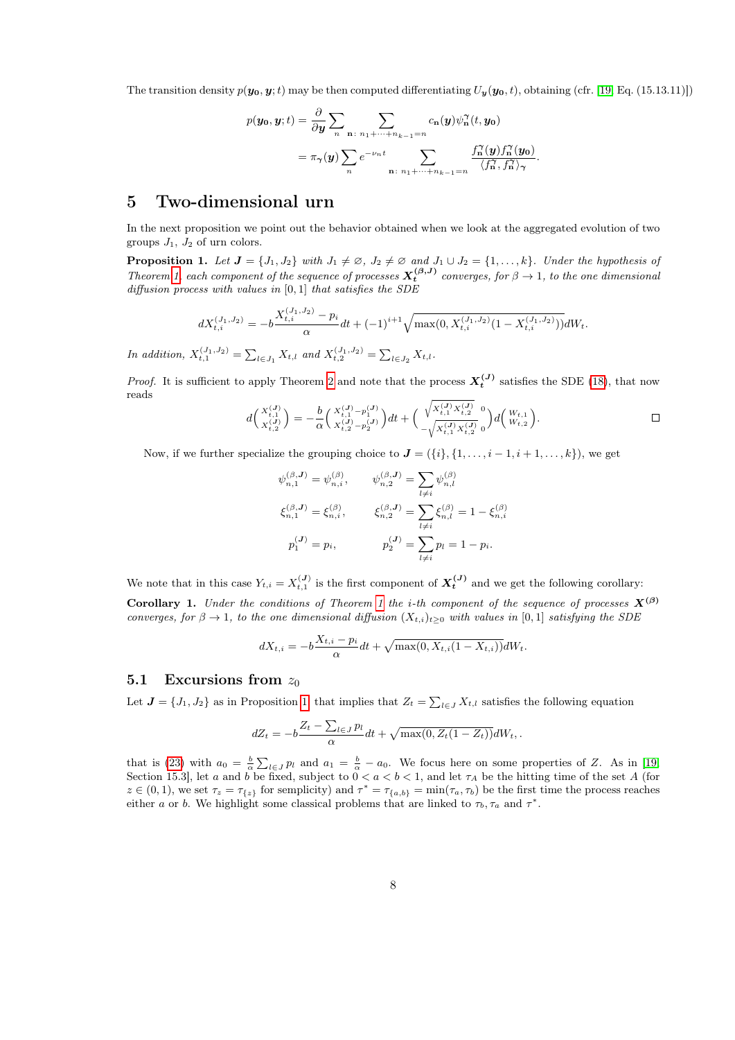The transition density  $p(\mathbf{y_0}, \mathbf{y};t)$  may be then computed differentiating  $U_\mathbf{y}(\mathbf{y_0}, t)$ , obtaining (cfr. [\[19,](#page-12-14) Eq. (15.13.11)])

$$
p(\mathbf{y_0}, \mathbf{y}; t) = \frac{\partial}{\partial \mathbf{y}} \sum_{n} \sum_{\mathbf{n}: n_1 + \dots + n_{k-1} = n} c_{\mathbf{n}}(\mathbf{y}) \psi_{\mathbf{n}}^{\gamma}(t, \mathbf{y_0})
$$
  
=  $\pi_{\gamma}(\mathbf{y}) \sum_{n} e^{-\nu_n t} \sum_{\mathbf{n}: n_1 + \dots + n_{k-1} = n} \frac{f_{\mathbf{n}}^{\gamma}(\mathbf{y}) f_{\mathbf{n}}^{\gamma}(\mathbf{y_0})}{\langle f_{\mathbf{n}}^{\gamma}, f_{\mathbf{n}}^{\gamma} \rangle_{\gamma}}.$ 

## <span id="page-7-0"></span>5 Two-dimensional urn

In the next proposition we point out the behavior obtained when we look at the aggregated evolution of two groups  $J_1$ ,  $J_2$  of urn colors.

<span id="page-7-1"></span>**Proposition 1.** Let  $J = \{J_1, J_2\}$  with  $J_1 \neq \emptyset$ ,  $J_2 \neq \emptyset$  and  $J_1 \cup J_2 = \{1, ..., k\}$ . Under the hypothesis of Theorem [1,](#page-3-5) each component of the sequence of processes  $X_t^{(\beta,J)}$  converges, for  $\beta \to 1$ , to the one dimensional diffusion process with values in  $[0, 1]$  that satisfies the SDE

$$
dX_{t,i}^{(J_1,J_2)} = -b \frac{X_{t,i}^{(J_1,J_2)} - p_i}{\alpha} dt + (-1)^{i+1} \sqrt{\max(0, X_{t,i}^{(J_1,J_2)}(1 - X_{t,i}^{(J_1,J_2)}))} dW_t.
$$

In addition,  $X_{t,1}^{(J_1,J_2)} = \sum_{l \in J_1} X_{t,l}$  and  $X_{t,2}^{(J_1,J_2)} = \sum_{l \in J_2} X_{t,l}$ .

*Proof.* It is sufficient to apply Theorem [2](#page-5-3) and note that the process  $X_t^{(J)}$  satisfies the SDE [\(18\)](#page-5-4), that now reads

$$
d\left(\begin{array}{c} X_{t,1}^{(J)} \\ X_{t,2}^{(J)} \end{array}\right) = -\frac{b}{\alpha} \left(\begin{array}{c} X_{t,1}^{(J)} - p_1^{(J)} \\ X_{t,2}^{(J)} - p_2^{(J)} \end{array}\right) dt + \left(\begin{array}{c} \sqrt{X_{t,1}^{(J)} X_{t,2}^{(J)}} \\ -\sqrt{X_{t,1}^{(J)} X_{t,2}^{(J)}} \end{array}\right) d\left(\begin{array}{c} W_{t,1} \\ W_{t,2} \end{array}\right).
$$

Now, if we further specialize the grouping choice to  $\mathbf{J} = (\{i\}, \{1, \ldots, i-1, i+1, \ldots, k\})$ , we get

$$
\psi_{n,1}^{(\beta,\mathbf{J})} = \psi_{n,i}^{(\beta)}, \qquad \psi_{n,2}^{(\beta,\mathbf{J})} = \sum_{l \neq i} \psi_{n,l}^{(\beta)}
$$

$$
\xi_{n,1}^{(\beta,\mathbf{J})} = \xi_{n,i}^{(\beta)}, \qquad \xi_{n,2}^{(\beta,\mathbf{J})} = \sum_{l \neq i} \xi_{n,l}^{(\beta)} = 1 - \xi_{n,i}^{(\beta)}
$$

$$
p_1^{(\mathbf{J})} = p_i, \qquad p_2^{(\mathbf{J})} = \sum_{l \neq i} p_l = 1 - p_i.
$$

We note that in this case  $Y_{t,i} = X_{t,1}^{(J)}$  is the first component of  $X_t^{(J)}$  and we get the following corollary: Corollary [1](#page-3-5). Under the conditions of Theorem 1 the i-th component of the sequence of processes  $X^{(\beta)}$ 

<span id="page-7-2"></span>converges, for 
$$
\beta \to 1
$$
, to the one dimensional diffusion  $(X_{t,i})_{t\geq 0}$  with values in [0,1] satisfying the SDE

$$
dX_{t,i} = -b\frac{X_{t,i} - p_i}{\alpha}dt + \sqrt{\max(0, X_{t,i}(1 - X_{t,i}))}dW_t.
$$

#### 5.1 Excursions from  $z_0$

Let  $J = \{J_1, J_2\}$  as in Proposition [1,](#page-7-1) that implies that  $Z_t = \sum_{l \in J} X_{t,l}$  satisfies the following equation

$$
dZ_t = -b\frac{Z_t - \sum_{l \in J} p_l}{\alpha} dt + \sqrt{\max(0, Z_t(1 - Z_t))} dW_t.
$$

that is [\(23\)](#page-10-1) with  $a_0 = \frac{b}{\alpha} \sum_{l \in J} p_l$  and  $a_1 = \frac{b}{\alpha} - a_0$ . We focus here on some properties of Z. As in [\[19,](#page-12-14) Section 15.3, let a and b be fixed, subject to  $0 < a < b < 1$ , and let  $\tau_A$  be the hitting time of the set A (for  $z \in (0,1)$ , we set  $\tau_z = \tau_{\{z\}}$  for semplicity) and  $\tau^* = \tau_{\{a,b\}} = \min(\tau_a, \tau_b)$  be the first time the process reaches either a or b. We highlight some classical problems that are linked to  $\tau_b, \tau_a$  and  $\tau^*$ .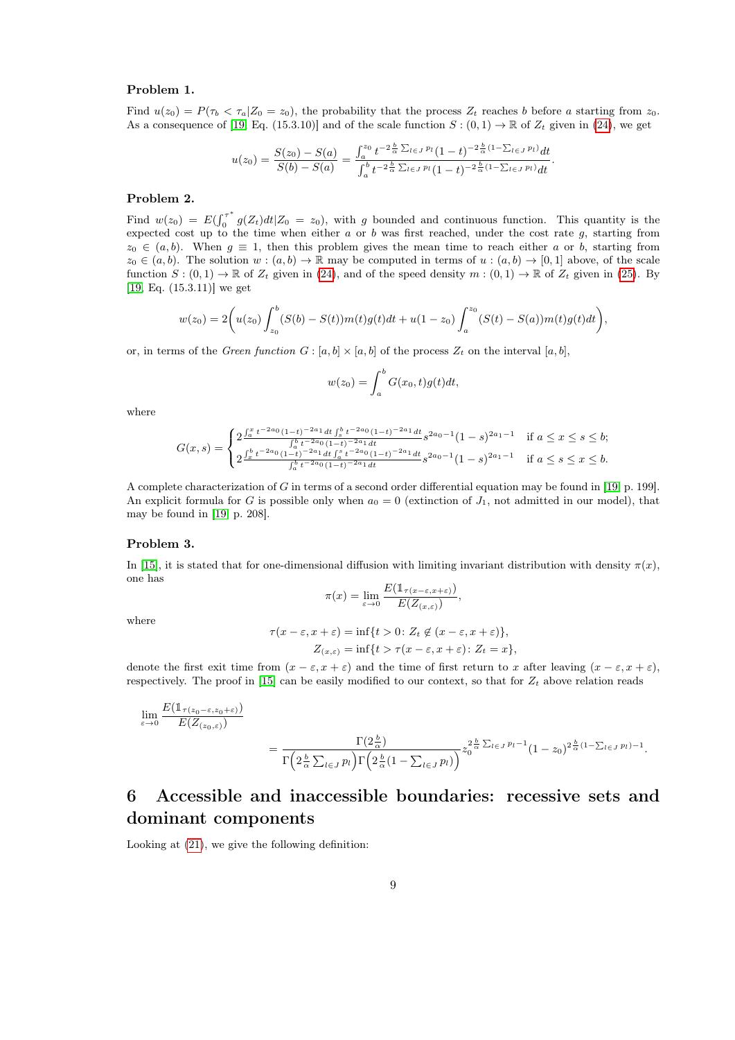#### Problem 1.

Find  $u(z_0) = P(\tau_b < \tau_a | Z_0 = z_0)$ , the probability that the process  $Z_t$  reaches b before a starting from  $z_0$ . As a consequence of [\[19,](#page-12-14) Eq. (15.3.10)] and of the scale function  $S:(0,1) \to \mathbb{R}$  of  $Z_t$  given in [\(24\)](#page-11-13), we get

$$
u(z_0) = \frac{S(z_0) - S(a)}{S(b) - S(a)} = \frac{\int_a^{z_0} t^{-2\frac{b}{\alpha} \sum_{l \in J} p_l} (1 - t)^{-2\frac{b}{\alpha}(1 - \sum_{l \in J} p_l)} dt}{\int_a^b t^{-2\frac{b}{\alpha} \sum_{l \in J} p_l} (1 - t)^{-2\frac{b}{\alpha}(1 - \sum_{l \in J} p_l)} dt}.
$$

#### Problem 2.

Find  $w(z_0) = E(\int_0^{\tau^*}$  $\int_0^{\tau} g(Z_t) dt | Z_0 = z_0$ , with g bounded and continuous function. This quantity is the expected cost up to the time when either a or b was first reached, under the cost rate g, starting from  $z_0 \in (a, b)$ . When  $g \equiv 1$ , then this problem gives the mean time to reach either a or b, starting from  $z_0 \in (a, b)$ . The solution  $w : (a, b) \to \mathbb{R}$  may be computed in terms of  $u : (a, b) \to [0, 1]$  above, of the scale function  $S: (0,1) \to \mathbb{R}$  of  $Z_t$  given in [\(24\)](#page-11-13), and of the speed density  $m: (0,1) \to \mathbb{R}$  of  $Z_t$  given in [\(25\)](#page-11-14). By [\[19,](#page-12-14) Eq. (15.3.11)] we get

$$
w(z_0) = 2\bigg(u(z_0)\int_{z_0}^b (S(b) - S(t))m(t)g(t)dt + u(1 - z_0)\int_a^{z_0} (S(t) - S(a))m(t)g(t)dt\bigg),
$$

or, in terms of the *Green function*  $G : [a, b] \times [a, b]$  of the process  $Z_t$  on the interval  $[a, b]$ ,

$$
w(z_0) = \int_a^b G(x_0, t)g(t)dt,
$$

where

$$
G(x,s) = \begin{cases} 2^{\frac{\int_a^x t^{-2a_0} (1-t)^{-2a_1} dt \int_s^b t^{-2a_0} (1-t)^{-2a_1} dt}{\int_a^b t^{-2a_0} (1-t)^{-2a_1} dt} s^{2a_0 - 1} (1-s)^{2a_1 - 1} & \text{if } a \le x \le s \le b; \\ 2^{\frac{\int_a^b t^{-2a_0} (1-t)^{-2a_1} dt \int_a^s t^{-2a_0} (1-t)^{-2a_1} dt}{\int_a^b t^{-2a_0} (1-t)^{-2a_1} dt}} s^{2a_0 - 1} (1-s)^{2a_1 - 1} & \text{if } a \le s \le x \le b. \end{cases}
$$

A complete characterization of G in terms of a second order differential equation may be found in [\[19,](#page-12-14) p. 199]. An explicit formula for G is possible only when  $a_0 = 0$  (extinction of  $J_1$ , not admitted in our model), that may be found in [\[19,](#page-12-14) p. 208].

#### Problem 3.

In [\[15\]](#page-12-15), it is stated that for one-dimensional diffusion with limiting invariant distribution with density  $\pi(x)$ , one has

$$
\pi(x) = \lim_{\varepsilon \to 0} \frac{E(\mathbb{1}_{\tau(x-\varepsilon,x+\varepsilon)})}{E(Z_{(x,\varepsilon)})},
$$

where

$$
\tau(x-\varepsilon, x+\varepsilon) = \inf\{t > 0 \colon Z_t \notin (x-\varepsilon, x+\varepsilon)\},
$$
  

$$
Z_{(x,\varepsilon)} = \inf\{t > \tau(x-\varepsilon, x+\varepsilon) \colon Z_t = x\},
$$

denote the first exit time from  $(x - \varepsilon, x + \varepsilon)$  and the time of first return to x after leaving  $(x - \varepsilon, x + \varepsilon)$ , respectively. The proof in [\[15\]](#page-12-15) can be easily modified to our context, so that for  $Z_t$  above relation reads

$$
\lim_{\varepsilon \to 0} \frac{E(\mathbb{1}_{\tau(z_0 - \varepsilon, z_0 + \varepsilon)})}{E(Z_{(z_0, \varepsilon)})} = \frac{\Gamma(2\frac{b}{\alpha})}{\Gamma\left(2\frac{b}{\alpha}\sum_{l \in J} p_l\right)\Gamma\left(2\frac{b}{\alpha}\left(1 - \sum_{l \in J} p_l\right)\right)} z_0^{\frac{b}{\alpha}\sum_{l \in J} p_l - 1} (1 - z_0)^{2\frac{b}{\alpha}(1 - \sum_{l \in J} p_l) - 1}.
$$

# <span id="page-8-0"></span>6 Accessible and inaccessible boundaries: recessive sets and dominant components

Looking at [\(21\)](#page-5-1), we give the following definition: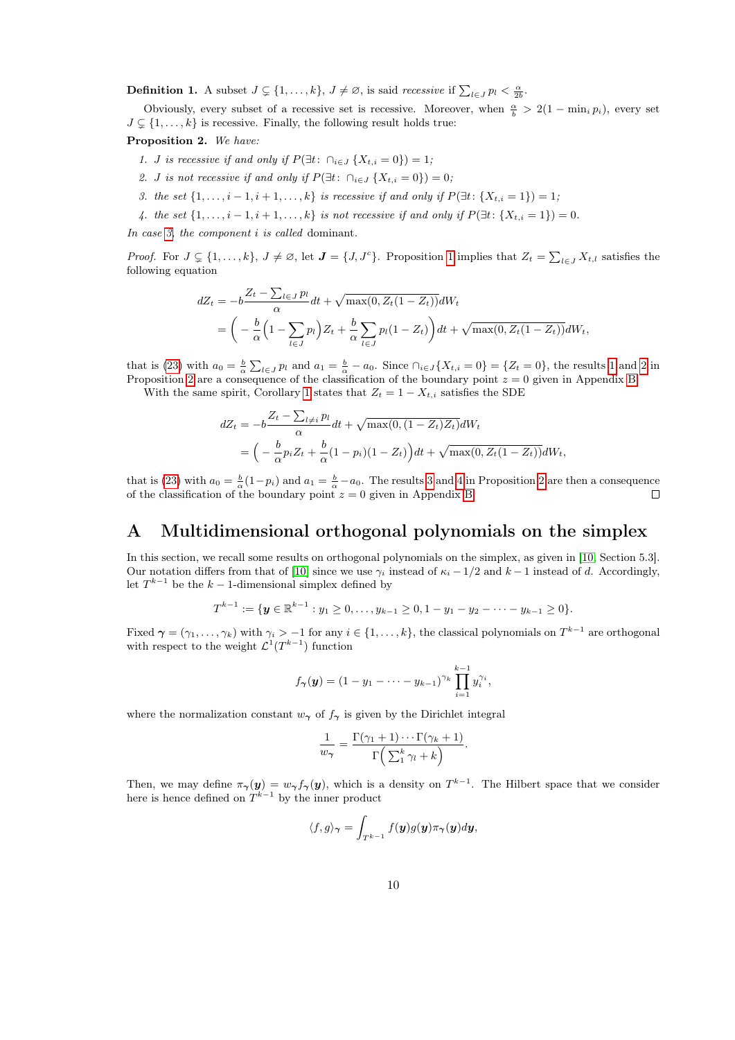**Definition 1.** A subset  $J \subsetneq \{1, ..., k\}$ ,  $J \neq \emptyset$ , is said *recessive* if  $\sum_{l \in J} p_l < \frac{\alpha}{2b}$ .

Obviously, every subset of a recessive set is recessive. Moreover, when  $\frac{\alpha}{b} > 2(1 - \min_i p_i)$ , every set  $J \subsetneq \{1, \ldots, k\}$  is recessive. Finally, the following result holds true:

<span id="page-9-4"></span><span id="page-9-2"></span>Proposition 2. We have:

- 1. *J* is recessive if and only if  $P(\exists t: \bigcap_{i \in J} \{X_{t,i} = 0\}) = 1;$
- <span id="page-9-3"></span>2. *J* is not recessive if and only if  $P(\exists t: \bigcap_{i \in J} \{X_{t,i} = 0\}) = 0;$
- <span id="page-9-1"></span>3. the set  $\{1, \ldots, i-1, i+1, \ldots, k\}$  is recessive if and only if  $P(\exists t: \{X_{t,i} = 1\}) = 1$ ;
- 4. the set  $\{1, \ldots, i-1, i+1, \ldots, k\}$  is not recessive if and only if  $P(\exists t: \{X_{t,i} = 1\}) = 0$ .

<span id="page-9-5"></span>In case [3,](#page-9-1) the component i is called dominant.

*Proof.* For  $J \subsetneq \{1,\ldots,k\}$ ,  $J \neq \emptyset$ , let  $J = \{J, J^c\}$ . Proposition [1](#page-7-1) implies that  $Z_t = \sum_{l \in J} X_{t,l}$  satisfies the following equation

$$
dZ_t = -b \frac{Z_t - \sum_{l \in J} p_l}{\alpha} dt + \sqrt{\max(0, Z_t(1 - Z_t))} dW_t
$$
  
= 
$$
\left( -\frac{b}{\alpha} \left( 1 - \sum_{l \in J} p_l \right) Z_t + \frac{b}{\alpha} \sum_{l \in J} p_l (1 - Z_t) \right) dt + \sqrt{\max(0, Z_t(1 - Z_t))} dW_t,
$$

that is [\(23\)](#page-10-1) with  $a_0 = \frac{b}{\alpha} \sum_{l \in J} p_l$  and  $a_1 = \frac{b}{\alpha} - a_0$ . Since  $\bigcap_{i \in J} \{X_{t,i} = 0\} = \{Z_t = 0\}$ , the results [1](#page-9-2) and [2](#page-9-3) in Proposition [2](#page-9-4) are a consequence of the classification of the boundary point  $z = 0$  given in Appendix [B.](#page-10-2)

With the same spirit, Corollary [1](#page-7-2) states that  $Z_t = 1 - X_{t,i}$  satisfies the SDE

$$
dZ_t = -b \frac{Z_t - \sum_{l \neq i} p_l}{\alpha} dt + \sqrt{\max(0, (1 - Z_t) Z_t)} dW_t
$$
  
=  $\left( -\frac{b}{\alpha} p_i Z_t + \frac{b}{\alpha} (1 - p_i) (1 - Z_t) \right) dt + \sqrt{\max(0, Z_t (1 - Z_t))} dW_t,$ 

that is [\(23\)](#page-10-1) with  $a_0 = \frac{b}{\alpha}(1-p_i)$  and  $a_1 = \frac{b}{\alpha} - a_0$ . The results [3](#page-9-1) and [4](#page-9-5) in Proposition [2](#page-9-4) are then a consequence of the classification of the boundary point  $z = 0$  given in Appendix [B.](#page-10-2)

# <span id="page-9-0"></span>A Multidimensional orthogonal polynomials on the simplex

In this section, we recall some results on orthogonal polynomials on the simplex, as given in [\[10,](#page-11-15) Section 5.3]. Our notation differs from that of [\[10\]](#page-11-15) since we use  $\gamma_i$  instead of  $\kappa_i - 1/2$  and  $k - 1$  instead of d. Accordingly, let  $T^{k-1}$  be the  $k-1$ -dimensional simplex defined by

$$
T^{k-1} := \{ \mathbf{y} \in \mathbb{R}^{k-1} : y_1 \geq 0, \ldots, y_{k-1} \geq 0, 1 - y_1 - y_2 - \cdots - y_{k-1} \geq 0 \}.
$$

Fixed  $\boldsymbol{\gamma}=(\gamma_1,\ldots,\gamma_k)$  with  $\gamma_i>-1$  for any  $i\in\{1,\ldots,k\}$ , the classical polynomials on  $T^{k-1}$  are orthogonal with respect to the weight  $\mathcal{L}^1(T^{k-1})$  function

$$
f_{\gamma}(\mathbf{y}) = (1 - y_1 - \cdots - y_{k-1})^{\gamma_k} \prod_{i=1}^{k-1} y_i^{\gamma_i},
$$

where the normalization constant  $w_{\gamma}$  of  $f_{\gamma}$  is given by the Dirichlet integral

$$
\frac{1}{w_{\gamma}} = \frac{\Gamma(\gamma_1 + 1) \cdots \Gamma(\gamma_k + 1)}{\Gamma\left(\sum_{1}^{k} \gamma_i + k\right)}.
$$

Then, we may define  $\pi_{\gamma}(y) = w_{\gamma} f_{\gamma}(y)$ , which is a density on  $T^{k-1}$ . The Hilbert space that we consider here is hence defined on  $T^{k-1}$  by the inner product

$$
\langle f, g \rangle_{\boldsymbol{\gamma}} = \int_{T^{k-1}} f(\mathbf{y}) g(\mathbf{y}) \pi_{\boldsymbol{\gamma}}(\mathbf{y}) d\mathbf{y},
$$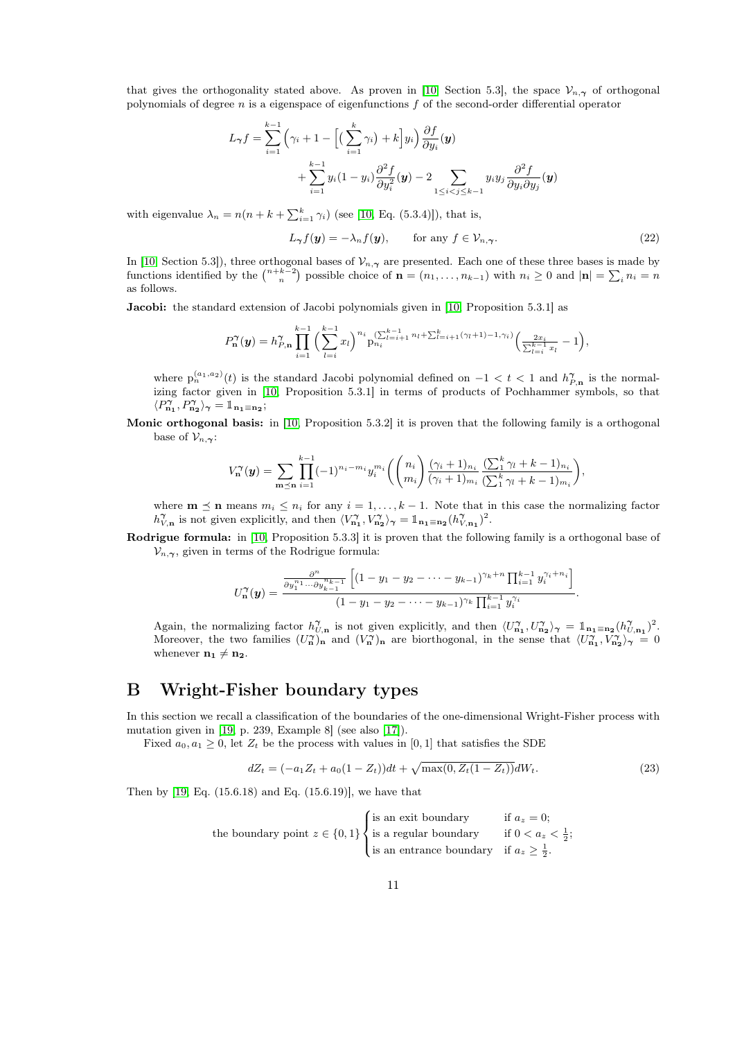that gives the orthogonality stated above. As proven in [\[10,](#page-11-15) Section 5.3], the space  $\mathcal{V}_{n,\gamma}$  of orthogonal polynomials of degree n is a eigenspace of eigenfunctions f of the second-order differential operator

$$
L_{\gamma}f = \sum_{i=1}^{k-1} \left( \gamma_i + 1 - \left[ \left( \sum_{i=1}^k \gamma_i \right) + k \right] y_i \right) \frac{\partial f}{\partial y_i}(\mathbf{y}) + \sum_{i=1}^{k-1} y_i (1 - y_i) \frac{\partial^2 f}{\partial y_i^2}(\mathbf{y}) - 2 \sum_{1 \le i < j \le k-1} y_i y_j \frac{\partial^2 f}{\partial y_i \partial y_j}(\mathbf{y})
$$

with eigenvalue  $\lambda_n = n(n + k + \sum_{i=1}^k \gamma_i)$  (see [\[10,](#page-11-15) Eq. (5.3.4)]), that is,

<span id="page-10-0"></span>
$$
L_{\gamma} f(\mathbf{y}) = -\lambda_n f(\mathbf{y}), \qquad \text{for any } f \in \mathcal{V}_{n,\gamma}.
$$
 (22)

In [\[10,](#page-11-15) Section 5.3]), three orthogonal bases of  $\mathcal{V}_{n,\gamma}$  are presented. Each one of these three bases is made by functions identified by the  $\binom{n+k-2}{n}$  possible choice of  $\mathbf{n} = (n_1, \ldots, n_{k-1})$  with  $n_i \geq 0$  and  $|\mathbf{n}| = \sum_i n_i = n$ as follows.

Jacobi: the standard extension of Jacobi polynomials given in [\[10,](#page-11-15) Proposition 5.3.1] as

$$
P_{\mathbf{n}}^{\gamma}(\mathbf{y}) = h_{P,\mathbf{n}}^{\gamma} \prod_{i=1}^{k-1} \left( \sum_{l=i}^{k-1} x_l \right)^{n_i} p_{n_i}^{(\sum_{l=i+1}^{k-1} n_l + \sum_{l=i+1}^{k} (\gamma_l + 1) - 1, \gamma_i)} \left( \frac{2x_i}{\sum_{l=i}^{k-1} x_l} - 1 \right),
$$

where  $p_n^{(a_1, a_2)}(t)$  is the standard Jacobi polynomial defined on  $-1 < t < 1$  and  $h_{P,n}^{\gamma}$  is the normalizing factor given in [\[10,](#page-11-15) Proposition 5.3.1] in terms of products of Pochhammer symbols, so that  $\langle P^{\pmb{\gamma}}_{\mathbf{n_1}}, P^{\pmb{\gamma}}_{\mathbf{n_2}} \rangle_{\pmb{\gamma}} = \mathbbm{1}_{\mathbf{n_1} \equiv \mathbf{n_2}};$ 

Monic orthogonal basis: in [\[10,](#page-11-15) Proposition 5.3.2] it is proven that the following family is a orthogonal base of  $\mathcal{V}_{n,\gamma}$ :

$$
V_{\mathbf{n}}^{\gamma}(\mathbf{y}) = \sum_{\mathbf{m}\preceq\mathbf{n}} \prod_{i=1}^{k-1} (-1)^{n_i - m_i} y_i^{m_i} \left( \binom{n_i}{m_i} \frac{(\gamma_i + 1)_{n_i}}{(\gamma_i + 1)_{m_i}} \frac{(\sum_{i=1}^{k} \gamma_i + k - 1)_{n_i}}{(\sum_{i=1}^{k} \gamma_i + k - 1)_{m_i}} \right),
$$

where  $\mathbf{m} \preceq \mathbf{n}$  means  $m_i \leq n_i$  for any  $i = 1, ..., k - 1$ . Note that in this case the normalizing factor  $h_{V,\mathbf{n}}^{\gamma}$  is not given explicitly, and then  $\langle V_{\mathbf{n_1}}^{\gamma}, V_{\mathbf{n_2}}^{\gamma} \rangle_{\gamma} = \mathbb{1}_{\mathbf{n_1} \equiv \mathbf{n_2}} (h_{V,\mathbf{n_1}}^{\gamma})^2$ .

Rodrigue formula: in [\[10,](#page-11-15) Proposition 5.3.3] it is proven that the following family is a orthogonal base of  $\mathcal{V}_{n,\gamma}$ , given in terms of the Rodrigue formula:

$$
U_{\mathbf{n}}^{\gamma}(\mathbf{y}) = \frac{\frac{\partial^{n}}{\partial y_1^{n_1} \cdots \partial y_{k-1}^{n_{k-1}}}\left[ (1 - y_1 - y_2 - \cdots - y_{k-1})^{\gamma_k + n} \prod_{i=1}^{k-1} y_i^{\gamma_i + n_i} \right]}{(1 - y_1 - y_2 - \cdots - y_{k-1})^{\gamma_k} \prod_{i=1}^{k-1} y_i^{\gamma_i}}.
$$

Again, the normalizing factor  $h_{U,n}^{\gamma}$  is not given explicitly, and then  $\langle U_{n_1}^{\gamma}, U_{n_2}^{\gamma} \rangle_{\gamma} = \mathbb{1}_{n_1 \equiv n_2} (h_{U,n_1}^{\gamma})^2$ . Moreover, the two families  $(U_n^{\gamma})_n$  and  $(V_n^{\gamma})_n$  are biorthogonal, in the sense that  $\langle U_{n_1}^{\gamma}, V_{n_2}^{\gamma} \rangle_{\gamma} = 0$ whenever  $n_1 \neq n_2$ .

## <span id="page-10-2"></span>B Wright-Fisher boundary types

In this section we recall a classification of the boundaries of the one-dimensional Wright-Fisher process with mutation given in [\[19,](#page-12-14) p. 239, Example 8] (see also [\[17\]](#page-12-16)).

Fixed  $a_0, a_1 \geq 0$ , let  $Z_t$  be the process with values in [0, 1] that satisfies the SDE

<span id="page-10-1"></span>
$$
dZ_t = (-a_1 Z_t + a_0 (1 - Z_t))dt + \sqrt{\max(0, Z_t (1 - Z_t))}dW_t.
$$
\n(23)

Then by [\[19,](#page-12-14) Eq. (15.6.18) and Eq. (15.6.19)], we have that

the boundary point 
$$
z \in \{0, 1\}
$$
   
is a regular boundary if  $a_z = 0$ ;  
is a regular boundary if  $0 < a_z < \frac{1}{2}$ ;  
is an entrance boundary if  $a_z \ge \frac{1}{2}$ .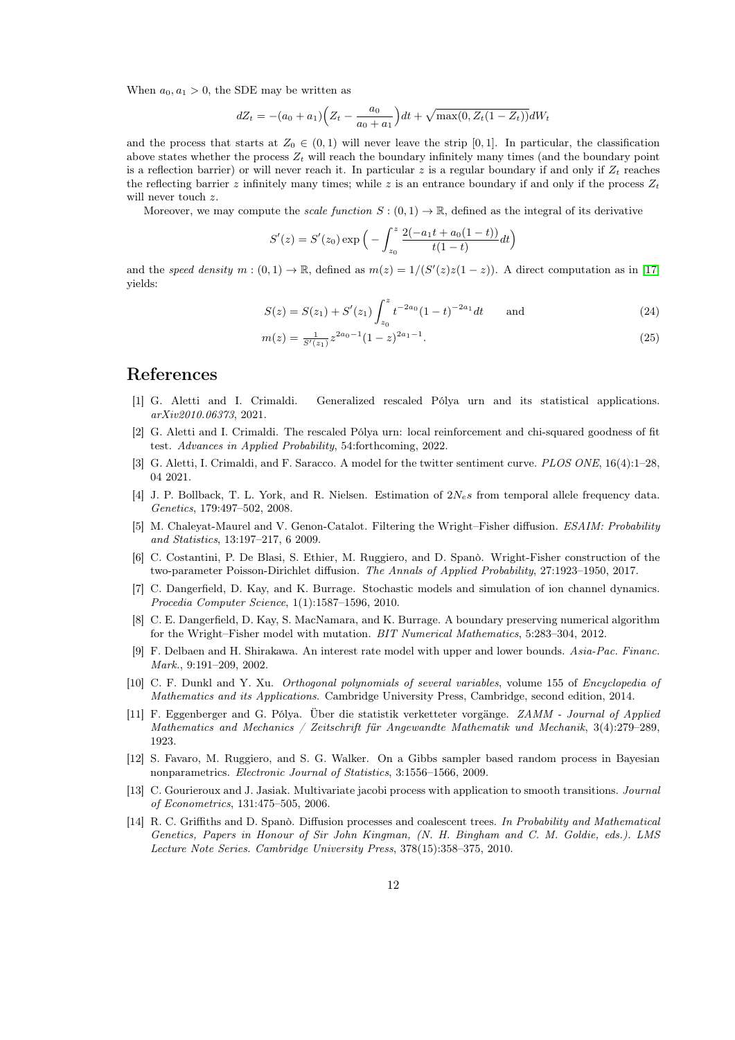When  $a_0, a_1 > 0$ , the SDE may be written as

$$
dZ_t = -(a_0 + a_1) \left(Z_t - \frac{a_0}{a_0 + a_1}\right) dt + \sqrt{\max(0, Z_t(1 - Z_t))} dW_t
$$

and the process that starts at  $Z_0 \in (0,1)$  will never leave the strip [0,1]. In particular, the classification above states whether the process  $Z_t$  will reach the boundary infinitely many times (and the boundary point is a reflection barrier) or will never reach it. In particular z is a regular boundary if and only if  $Z_t$  reaches the reflecting barrier z infinitely many times; while z is an entrance boundary if and only if the process  $Z_t$ will never touch z.

Moreover, we may compute the *scale function*  $S : (0,1) \to \mathbb{R}$ , defined as the integral of its derivative

$$
S'(z) = S'(z_0) \exp\Big(-\int_{z_0}^z \frac{2(-a_1t + a_0(1-t))}{t(1-t)}dt\Big)
$$

and the speed density  $m:(0,1) \to \mathbb{R}$ , defined as  $m(z) = 1/(S'(z)z(1-z))$ . A direct computation as in [\[17\]](#page-12-16) yields:

<span id="page-11-14"></span><span id="page-11-13"></span>
$$
S(z) = S(z_1) + S'(z_1) \int_{z_0}^{z} t^{-2a_0} (1-t)^{-2a_1} dt \quad \text{and} \tag{24}
$$

$$
m(z) = \frac{1}{S'(z_1)} z^{2a_0 - 1} (1 - z)^{2a_1 - 1}.
$$
\n(25)

### <span id="page-11-3"></span>References

- [1] G. Aletti and I. Crimaldi. Generalized rescaled Pólya urn and its statistical applications. arXiv2010.06373, 2021.
- <span id="page-11-0"></span>[2] G. Aletti and I. Crimaldi. The rescaled Pólya urn: local reinforcement and chi-squared goodness of fit test. Advances in Applied Probability, 54:forthcoming, 2022.
- <span id="page-11-1"></span>[3] G. Aletti, I. Crimaldi, and F. Saracco. A model for the twitter sentiment curve. PLOS ONE, 16(4):1–28, 04 2021.
- <span id="page-11-7"></span>[4] J. P. Bollback, T. L. York, and R. Nielsen. Estimation of  $2N_e s$  from temporal allele frequency data. Genetics, 179:497–502, 2008.
- <span id="page-11-10"></span>[5] M. Chaleyat-Maurel and V. Genon-Catalot. Filtering the Wright–Fisher diffusion. ESAIM: Probability and Statistics, 13:197–217, 6 2009.
- <span id="page-11-6"></span>[6] C. Costantini, P. De Blasi, S. Ethier, M. Ruggiero, and D. Spanò. Wright-Fisher construction of the two-parameter Poisson-Dirichlet diffusion. The Annals of Applied Probability, 27:1923–1950, 2017.
- <span id="page-11-8"></span>[7] C. Dangerfield, D. Kay, and K. Burrage. Stochastic models and simulation of ion channel dynamics. Procedia Computer Science, 1(1):1587–1596, 2010.
- <span id="page-11-9"></span>[8] C. E. Dangerfield, D. Kay, S. MacNamara, and K. Burrage. A boundary preserving numerical algorithm for the Wright–Fisher model with mutation. BIT Numerical Mathematics, 5:283–304, 2012.
- <span id="page-11-11"></span>[9] F. Delbaen and H. Shirakawa. An interest rate model with upper and lower bounds. Asia-Pac. Financ. Mark., 9:191–209, 2002.
- <span id="page-11-15"></span>[10] C. F. Dunkl and Y. Xu. Orthogonal polynomials of several variables, volume 155 of Encyclopedia of Mathematics and its Applications. Cambridge University Press, Cambridge, second edition, 2014.
- <span id="page-11-2"></span>[11] F. Eggenberger and G. Pólya. Über die statistik verketteter vorgänge. ZAMM - Journal of Applied Mathematics and Mechanics / Zeitschrift für Angewandte Mathematik und Mechanik, 3(4):279–289, 1923.
- <span id="page-11-4"></span>[12] S. Favaro, M. Ruggiero, and S. G. Walker. On a Gibbs sampler based random process in Bayesian nonparametrics. Electronic Journal of Statistics, 3:1556–1566, 2009.
- <span id="page-11-12"></span>[13] C. Gourieroux and J. Jasiak. Multivariate jacobi process with application to smooth transitions. Journal of Econometrics, 131:475–505, 2006.
- <span id="page-11-5"></span>[14] R. C. Griffiths and D. Spanò. Diffusion processes and coalescent trees. In Probability and Mathematical Genetics, Papers in Honour of Sir John Kingman, (N. H. Bingham and C. M. Goldie, eds.). LMS Lecture Note Series. Cambridge University Press, 378(15):358–375, 2010.